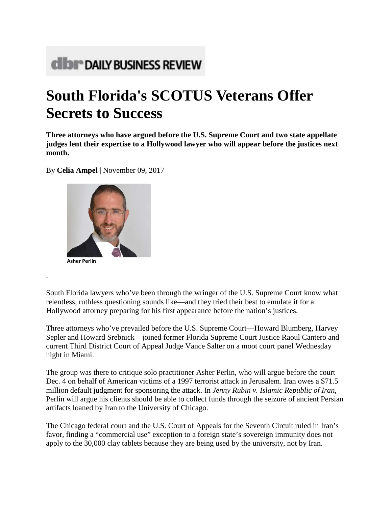## **CIDI<sup>®</sup> DAILY BUSINESS REVIEW**

## **South Florida's SCOTUS Veterans Offer Secrets to Success**

**Three attorneys who have argued before the U.S. Supreme Court and two state appellate judges lent their expertise to a Hollywood lawyer who will appear before the justices next month.**

By **Celia Ampel** | November 09, 2017



.

South Florida lawyers who've been through the wringer of the U.S. Supreme Court know what relentless, ruthless questioning sounds like—and they tried their best to emulate it for a Hollywood attorney preparing for his first appearance before the nation's justices.

Three attorneys who've prevailed before the U.S. Supreme Court—Howard Blumberg, Harvey Sepler and Howard Srebnick—joined former Florida Supreme Court Justice Raoul Cantero and current Third District Court of Appeal Judge Vance Salter on a moot court panel Wednesday night in Miami.

The group was there to critique solo practitioner Asher Perlin, who will argue before the court Dec. 4 on behalf of American victims of a 1997 terrorist attack in Jerusalem. Iran owes a \$71.5 million default judgment for sponsoring the attack. In *Jenny Rubin v. Islamic Republic of Iran*, Perlin will argue his clients should be able to collect funds through the seizure of ancient Persian artifacts loaned by Iran to the University of Chicago.

The Chicago federal court and the U.S. Court of Appeals for the Seventh Circuit ruled in Iran's favor, finding a "commercial use" exception to a foreign state's sovereign immunity does not apply to the 30,000 clay tablets because they are being used by the university, not by Iran.